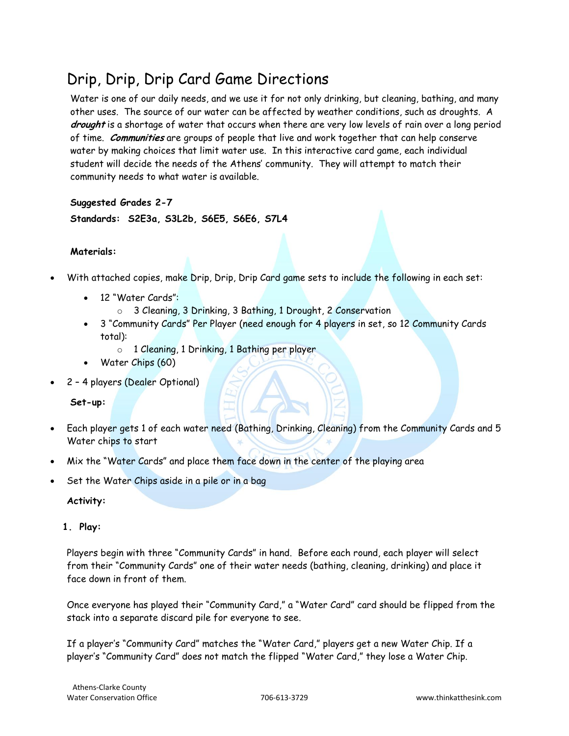# Drip, Drip, Drip Card Game Directions

Water is one of our daily needs, and we use it for not only drinking, but cleaning, bathing, and many other uses. The source of our water can be affected by weather conditions, such as droughts. A **drought** is a shortage of water that occurs when there are very low levels of rain over a long period of time. **Communities** are groups of people that live and work together that can help conserve water by making choices that limit water use. In this interactive card game, each individual student will decide the needs of the Athens' community. They will attempt to match their community needs to what water is available.

# **Suggested Grades 2-7**

**Standards: S2E3a, S3L2b, S6E5, S6E6, S7L4**

## **Materials:**

- With attached copies, make Drip, Drip, Drip Card game sets to include the following in each set:
	- 12 "Water Cards":
		- o 3 Cleaning, 3 Drinking, 3 Bathing, 1 Drought, 2 Conservation
	- 3 "Community Cards" Per Player (need enough for 4 players in set, so 12 Community Cards total):
		- o 1 Cleaning, 1 Drinking, 1 Bathing per player
	- Water Chips (60)
- 2 4 players (Dealer Optional)

**Set-up:**

- Each player gets 1 of each water need (Bathing, Drinking, Cleaning) from the Community Cards and 5 Water chips to start
- Mix the "Water Cards" and place them face down in the center of the playing area
- Set the Water Chips aside in a pile or in a bag

#### **Activity:**

**1. Play:** 

Players begin with three "Community Cards" in hand. Before each round, each player will select from their "Community Cards" one of their water needs (bathing, cleaning, drinking) and place it face down in front of them.

Once everyone has played their "Community Card," a "Water Card" card should be flipped from the stack into a separate discard pile for everyone to see.

If a player's "Community Card" matches the "Water Card," players get a new Water Chip. If a player's "Community Card" does not match the flipped "Water Card," they lose a Water Chip.